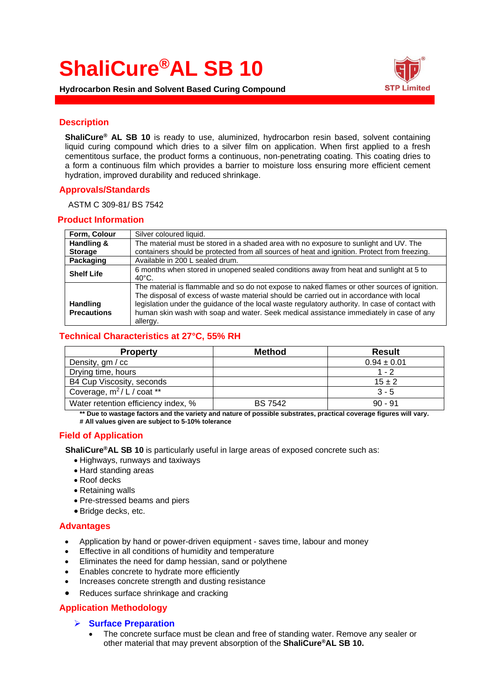# **ShaliCure®AL SB 10**



**Hydrocarbon Resin and Solvent Based Curing Compound**

## **Description**

**ShaliCure® AL SB 10** is ready to use, aluminized, hydrocarbon resin based, solvent containing liquid curing compound which dries to a silver film on application. When first applied to a fresh cementitous surface, the product forms a continuous, non-penetrating coating. This coating dries to a form a continuous film which provides a barrier to moisture loss ensuring more efficient cement hydration, improved durability and reduced shrinkage.

# **Approvals/Standards**

ASTM C 309-81/ BS 7542

### **Product Information**

| Form, Colour                          | Silver coloured liquid.                                                                                                                                                                                                                                                                                                                                                                           |
|---------------------------------------|---------------------------------------------------------------------------------------------------------------------------------------------------------------------------------------------------------------------------------------------------------------------------------------------------------------------------------------------------------------------------------------------------|
| Handling &                            | The material must be stored in a shaded area with no exposure to sunlight and UV. The                                                                                                                                                                                                                                                                                                             |
| <b>Storage</b>                        | containers should be protected from all sources of heat and ignition. Protect from freezing.                                                                                                                                                                                                                                                                                                      |
| <b>Packaging</b>                      | Available in 200 L sealed drum.                                                                                                                                                                                                                                                                                                                                                                   |
| <b>Shelf Life</b>                     | 6 months when stored in unopened sealed conditions away from heat and sunlight at 5 to<br>$40^{\circ}$ C.                                                                                                                                                                                                                                                                                         |
| <b>Handling</b><br><b>Precautions</b> | The material is flammable and so do not expose to naked flames or other sources of ignition.<br>The disposal of excess of waste material should be carried out in accordance with local<br>legislation under the guidance of the local waste regulatory authority. In case of contact with<br>human skin wash with soap and water. Seek medical assistance immediately in case of any<br>allergy. |

# **Technical Characteristics at 27°C, 55% RH**

| <b>Property</b>                        | <b>Method</b>  | <b>Result</b>   |
|----------------------------------------|----------------|-----------------|
| Density, gm / cc                       |                | $0.94 \pm 0.01$ |
| Drying time, hours                     |                | $1 - 2$         |
| B4 Cup Viscosity, seconds              |                | $15 \pm 2$      |
| Coverage, m <sup>2</sup> / L / coat ** |                | $3 - 5$         |
| Water retention efficiency index, %    | <b>BS 7542</b> | $90 - 91$       |

**\*\* Due to wastage factors and the variety and nature of possible substrates, practical coverage figures will vary. # All values given are subject to 5-10% tolerance**

# **Field of Application**

 **ShaliCure®AL SB 10** is particularly useful in large areas of exposed concrete such as:

- Highways, runways and taxiways
- Hard standing areas
- Roof decks
- Retaining walls
- Pre-stressed beams and piers
- Bridge decks, etc.

# **Advantages**

- Application by hand or power-driven equipment saves time, labour and money
- Effective in all conditions of humidity and temperature
- Eliminates the need for damp hessian, sand or polythene
- Enables concrete to hydrate more efficiently
- Increases concrete strength and dusting resistance
- Reduces surface shrinkage and cracking

# **Application Methodology**

#### ➢ **Surface Preparation**

• The concrete surface must be clean and free of standing water. Remove any sealer or other material that may prevent absorption of the **ShaliCure®AL SB 10.**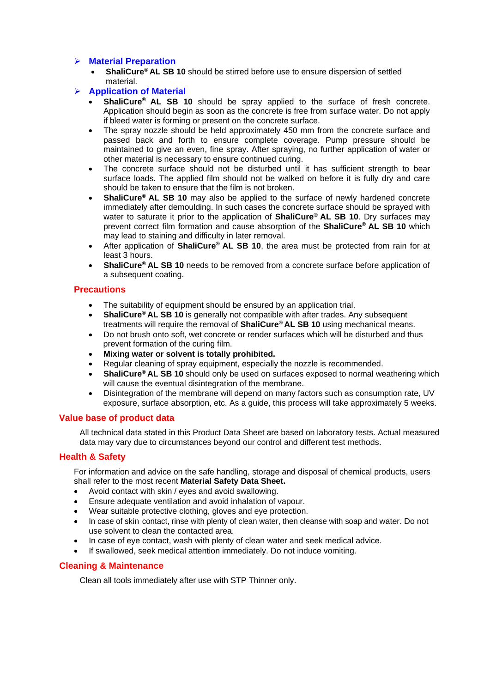# ➢ **Material Preparation**

• **ShaliCure® AL SB 10** should be stirred before use to ensure dispersion of settled material.

# ➢ **Application of Material**

- **ShaliCure® AL SB 10** should be spray applied to the surface of fresh concrete. Application should begin as soon as the concrete is free from surface water. Do not apply if bleed water is forming or present on the concrete surface.
- The spray nozzle should be held approximately 450 mm from the concrete surface and passed back and forth to ensure complete coverage. Pump pressure should be maintained to give an even, fine spray. After spraying, no further application of water or other material is necessary to ensure continued curing.
- The concrete surface should not be disturbed until it has sufficient strength to bear surface loads. The applied film should not be walked on before it is fully dry and care should be taken to ensure that the film is not broken.
- **ShaliCure® AL SB 10** may also be applied to the surface of newly hardened concrete immediately after demoulding. In such cases the concrete surface should be sprayed with water to saturate it prior to the application of **ShaliCure® AL SB 10**. Dry surfaces may prevent correct film formation and cause absorption of the **ShaliCure® AL SB 10** which may lead to staining and difficulty in later removal.
- After application of **ShaliCure® AL SB 10**, the area must be protected from rain for at least 3 hours.
- **ShaliCure® AL SB 10** needs to be removed from a concrete surface before application of a subsequent coating.

# **Precautions**

- The suitability of equipment should be ensured by an application trial.
- **ShaliCure® AL SB 10** is generally not compatible with after trades. Any subsequent treatments will require the removal of **ShaliCure® AL SB 10** using mechanical means.
- Do not brush onto soft, wet concrete or render surfaces which will be disturbed and thus prevent formation of the curing film.
- **Mixing water or solvent is totally prohibited.**
- Regular cleaning of spray equipment, especially the nozzle is recommended.
- **ShaliCure® AL SB 10** should only be used on surfaces exposed to normal weathering which will cause the eventual disintegration of the membrane.
- Disintegration of the membrane will depend on many factors such as consumption rate, UV exposure, surface absorption, etc. As a guide, this process will take approximately 5 weeks.

# **Value base of product data**

All technical data stated in this Product Data Sheet are based on laboratory tests. Actual measured data may vary due to circumstances beyond our control and different test methods.

# **Health & Safety**

For information and advice on the safe handling, storage and disposal of chemical products, users shall refer to the most recent **Material Safety Data Sheet.**

- Avoid contact with skin / eyes and avoid swallowing.
- Ensure adequate ventilation and avoid inhalation of vapour.
- Wear suitable protective clothing, gloves and eye protection.
- In case of skin contact, rinse with plenty of clean water, then cleanse with soap and water. Do not use solvent to clean the contacted area.
- In case of eye contact, wash with plenty of clean water and seek medical advice.
- If swallowed, seek medical attention immediately. Do not induce vomiting.

# **Cleaning & Maintenance**

Clean all tools immediately after use with STP Thinner only.